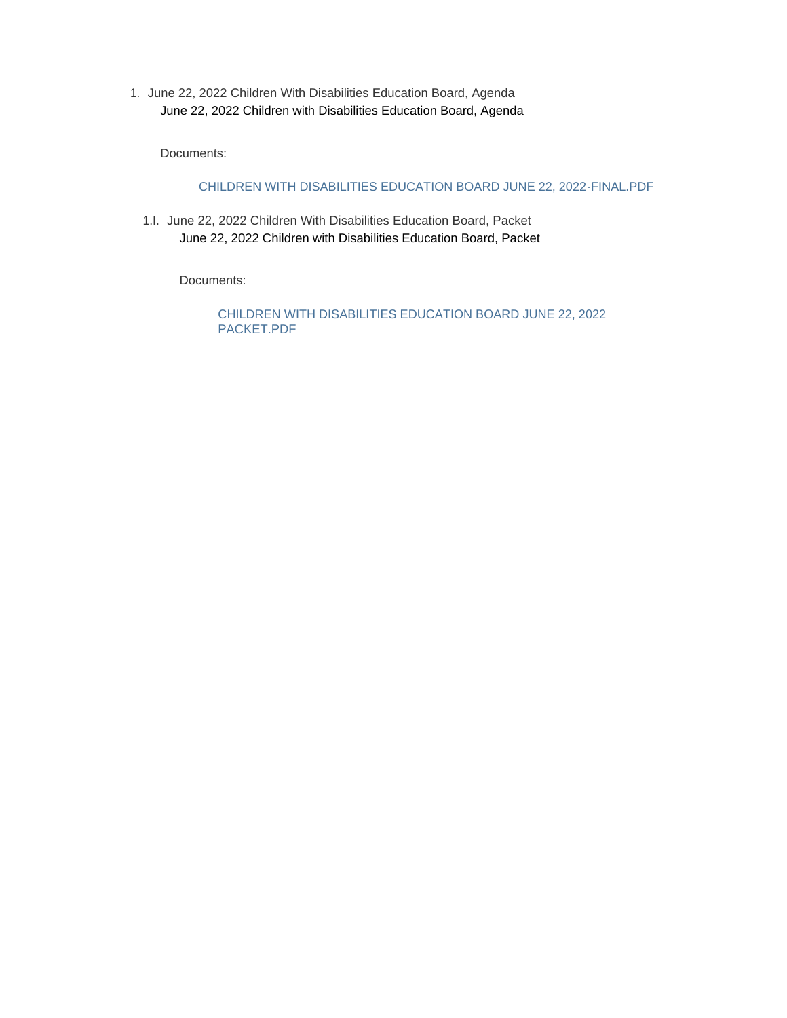1. June 22, 2022 Children With Disabilities Education Board, Agenda June 22, 2022 Children with Disabilities Education Board, Agenda

Documents:

CHILDREN WITH DISABILITIES EDUCATION BOARD JUNE 22, 2022-FINAL.PDF

1.I. June 22, 2022 Children With Disabilities Education Board, Packet June 22, 2022 Children with Disabilities Education Board, Packet

Documents:

CHILDREN WITH DISABILITIES EDUCATION BOARD JUNE 22, 2022 PACKET.PDF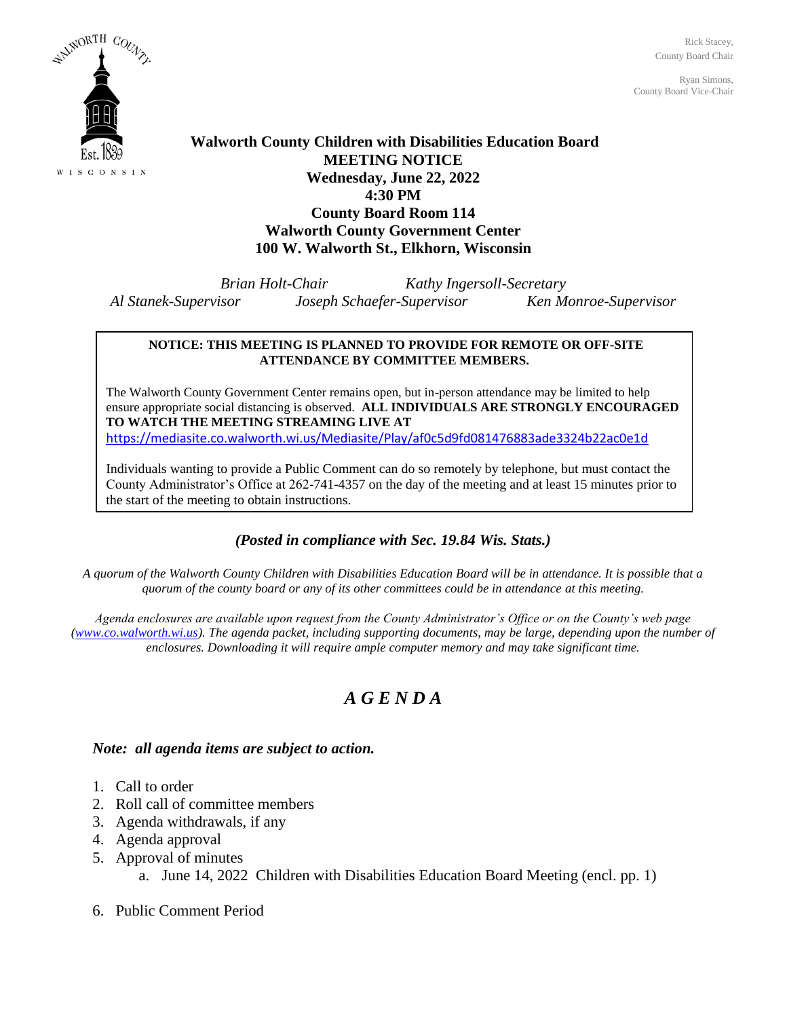Rick Stacey, County Board Chair

Ryan Simons, County Board Vice-Chair



### **Walworth County Children with Disabilities Education Board MEETING NOTICE Wednesday, June 22, 2022 4:30 PM County Board Room 114 Walworth County Government Center 100 W. Walworth St., Elkhorn, Wisconsin**

*Brian Holt-Chair Kathy Ingersoll-Secretary Al Stanek-Supervisor Joseph Schaefer-Supervisor Ken Monroe-Supervisor*

### **NOTICE: THIS MEETING IS PLANNED TO PROVIDE FOR REMOTE OR OFF-SITE ATTENDANCE BY COMMITTEE MEMBERS.**

The Walworth County Government Center remains open, but in-person attendance may be limited to help ensure appropriate social distancing is observed. **ALL INDIVIDUALS ARE STRONGLY ENCOURAGED TO WATCH THE MEETING STREAMING LIVE AT** <https://mediasite.co.walworth.wi.us/Mediasite/Play/af0c5d9fd081476883ade3324b22ac0e1d>

Individuals wanting to provide a Public Comment can do so remotely by telephone, but must contact the County Administrator's Office at 262-741-4357 on the day of the meeting and at least 15 minutes prior to the start of the meeting to obtain instructions.

### *(Posted in compliance with Sec. 19.84 Wis. Stats.)*

*A quorum of the Walworth County Children with Disabilities Education Board will be in attendance. It is possible that a quorum of the county board or any of its other committees could be in attendance at this meeting.*

*Agenda enclosures are available upon request from the County Administrator's Office or on the County's web page [\(www.co.walworth.wi.us\)](http://www.co.walworth.wi.us/). The agenda packet, including supporting documents, may be large, depending upon the number of enclosures. Downloading it will require ample computer memory and may take significant time.*

### *A G E N D A*

### *Note: all agenda items are subject to action.*

- 1. Call to order
- 2. Roll call of committee members
- 3. Agenda withdrawals, if any
- 4. Agenda approval
- 5. Approval of minutes

a. June 14, 2022 Children with Disabilities Education Board Meeting (encl. pp. 1)

6. Public Comment Period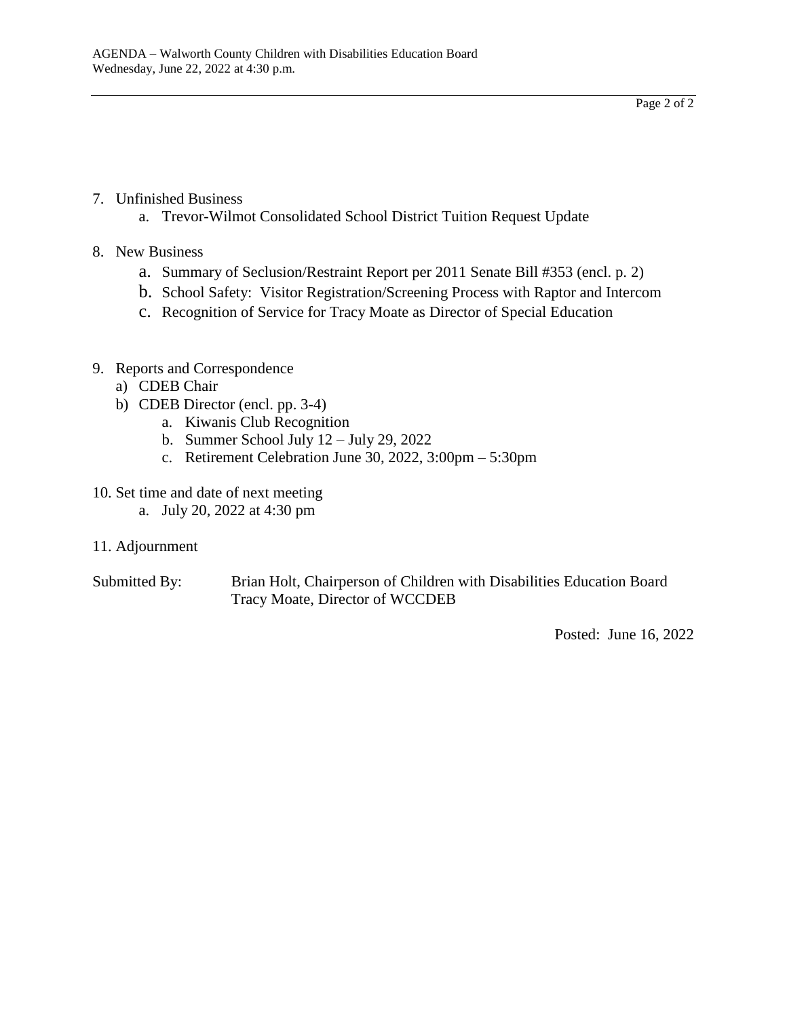Page 2 of 2

- 7. Unfinished Business
	- a. Trevor-Wilmot Consolidated School District Tuition Request Update
- 8. New Business
	- a. Summary of Seclusion/Restraint Report per 2011 Senate Bill #353 (encl. p. 2)
	- b. School Safety: Visitor Registration/Screening Process with Raptor and Intercom
	- c. Recognition of Service for Tracy Moate as Director of Special Education

### 9. Reports and Correspondence

- a) CDEB Chair
- b) CDEB Director (encl. pp. 3-4)
	- a. Kiwanis Club Recognition
	- b. Summer School July 12 July 29, 2022
	- c. Retirement Celebration June 30, 2022, 3:00pm 5:30pm
- 10. Set time and date of next meeting
	- a. July 20, 2022 at 4:30 pm
- 11. Adjournment
- Submitted By: Brian Holt, Chairperson of Children with Disabilities Education Board Tracy Moate, Director of WCCDEB

Posted: June 16, 2022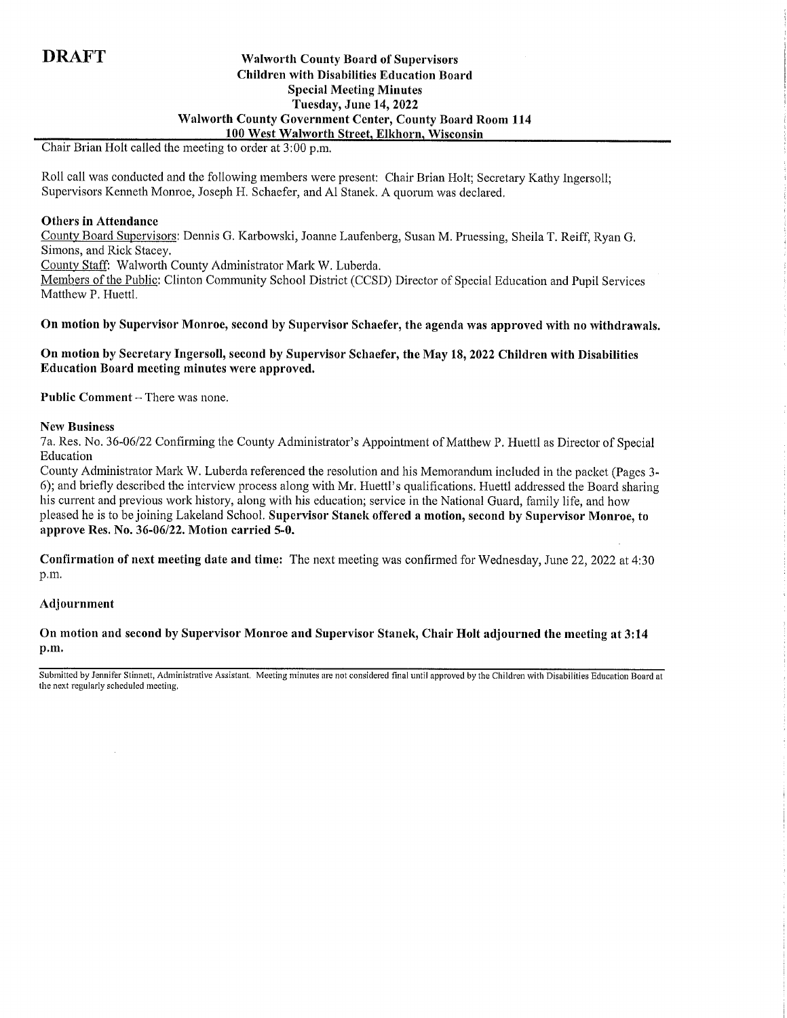### **Walworth County Board of Supervisors Children with Disabilities Education Board Special Meeting Minutes** Tuesday, June 14, 2022 **Walworth County Government Center, County Board Room 114** 100 West Walworth Street, Elkhorn, Wisconsin

Chair Brian Holt called the meeting to order at 3:00 p.m.

Roll call was conducted and the following members were present: Chair Brian Holt; Secretary Kathy Ingersoll; Supervisors Kenneth Monroe, Joseph H. Schaefer, and Al Stanek. A quorum was declared.

### **Others in Attendance**

County Board Supervisors: Dennis G. Karbowski, Joanne Laufenberg, Susan M. Pruessing, Sheila T. Reiff, Ryan G. Simons, and Rick Stacey.

County Staff: Walworth County Administrator Mark W. Luberda.

Members of the Public: Clinton Community School District (CCSD) Director of Special Education and Pupil Services Matthew P. Huettl.

On motion by Supervisor Monroe, second by Supervisor Schaefer, the agenda was approved with no withdrawals.

### On motion by Secretary Ingersoll, second by Supervisor Schaefer, the May 18, 2022 Children with Disabilities Education Board meeting minutes were approved.

Public Comment - There was none.

### **New Business**

7a. Res. No. 36-06/22 Confirming the County Administrator's Appointment of Matthew P. Huettl as Director of Special Education

County Administrator Mark W. Luberda referenced the resolution and his Memorandum included in the packet (Pages 3-6); and briefly described the interview process along with Mr. Huettl's qualifications. Huettl addressed the Board sharing his current and previous work history, along with his education; service in the National Guard, family life, and how pleased he is to be joining Lakeland School. Supervisor Stanek offered a motion, second by Supervisor Monroe, to approve Res. No. 36-06/22. Motion carried 5-0.

Confirmation of next meeting date and time: The next meeting was confirmed for Wednesday, June 22, 2022 at 4:30 p.m.

### Adjournment

On motion and second by Supervisor Monroe and Supervisor Stanek, Chair Holt adjourned the meeting at 3:14 p.m.

Submitted by Jennifer Stinnett, Administrative Assistant. Meeting minutes are not considered final until approved by the Children with Disabilities Education Board at the next regularly scheduled meeting,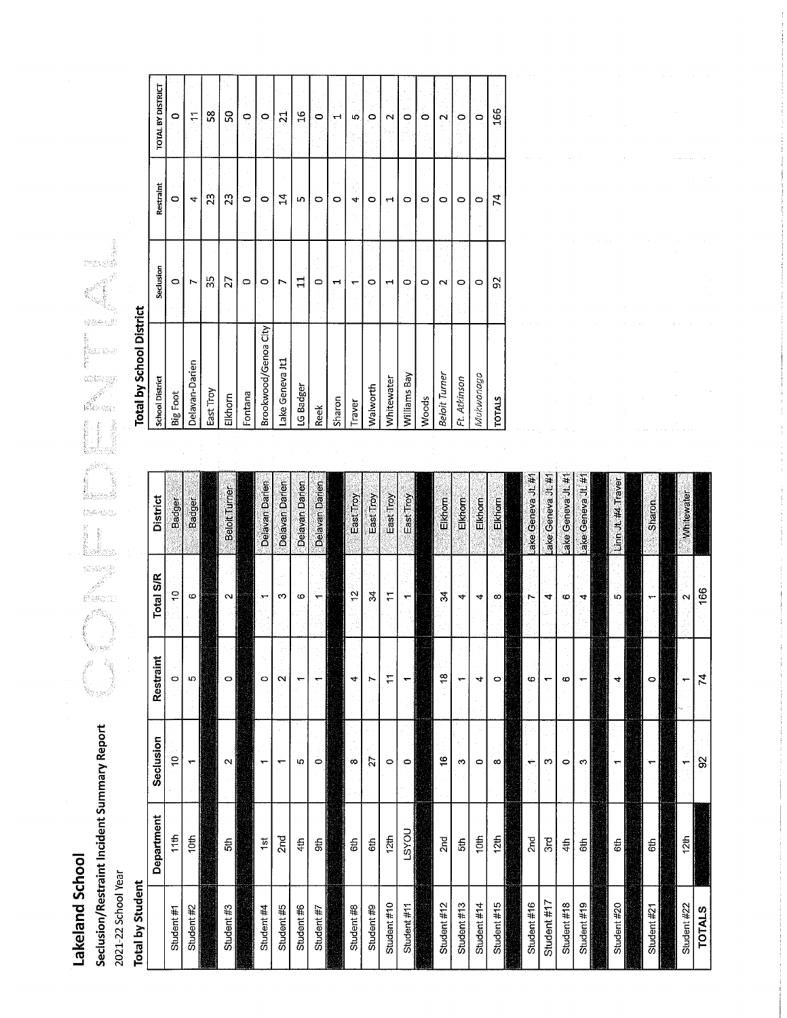Lakeland School

# Seclusion/Restraint Incident Summary Report

2021-22 School Year

### **Total by Student**

|               | Department                      | Seclusion     | Restraint                | Total S/R                | <b>District</b>      |
|---------------|---------------------------------|---------------|--------------------------|--------------------------|----------------------|
| Student #1    | 11th                            | ő             | ö                        | Ş                        | Badger               |
| Student #2    | $\frac{1}{2}$                   | ۳             | 5                        | ဖ                        | Badger               |
|               |                                 |               |                          |                          |                      |
| Student #3    | 5th                             | $\sim$        | $\circ$                  | $\sim$                   | <b>Beloit Turner</b> |
|               |                                 |               |                          |                          |                      |
| Student #4    | $\frac{1}{2}$                   |               | $\circ$                  | $\sim$                   | Delavan Darien       |
| Student #5    | 2 <sub>nd</sub>                 | ↽             | $\sim$                   | 3                        | Delavan Darien       |
| Student #6    | 4th                             | ю             | $\overline{\phantom{0}}$ | Φ                        | Delavan Darien       |
| Student #7    | Sth                             | $\circ$       |                          | $\overline{\phantom{0}}$ | Delavan Darien       |
|               |                                 |               |                          |                          |                      |
| Student #8    | 6th                             | $\infty$      | 4                        | $\tilde{c}$              | East Troy            |
| Student #9    | 6th                             | $\tilde{z}$   | $\overline{ }$           | $\frac{2}{3}$            | East Troy            |
| Student $#10$ | 12th                            | $\circ$       | $\ddot{ }$               | Έ                        | East Troy            |
| Student #11   | LSYOU                           | $\circ$       | ᅮ                        | ٣                        | East Troy            |
|               |                                 |               |                          |                          |                      |
| Student #12   | 2 <sub>nd</sub>                 | $\frac{6}{5}$ | ₽                        | ॱड़                      | Elkhorn              |
| Student #13   | 5th                             | $\infty$      | ٣                        | 4                        | Elkhorn              |
| Student #14   | 10th                            | Ó             | 4                        | 4                        | Elkhorn              |
| Student $#15$ | $\frac{12\text{th}}{\text{th}}$ | $\infty$      | $\circ$                  | $\infty$                 | Elkhorn              |
|               |                                 |               |                          |                          |                      |
| Student #16   | 2 <sub>nd</sub>                 | ÷             | ဖ                        | N                        | ake Geneva Jt.#f     |
| Student #17   | 3rd                             | က             | ᡪ                        | 4                        | ake Geneva Jt #1     |
| Student #18   | 4th                             | $\circ$       | 6                        | ဇ                        | ake Geneva Jt.#1     |
| Student $#19$ | 6th                             | Ğ,            |                          | 4                        | .ake Geneva Jt.#1    |
|               |                                 |               |                          |                          |                      |
| Student #20   | 6th                             | ᠇             | 4                        | Ю                        | Linn Jt.#4 Traver    |
|               |                                 |               |                          |                          |                      |
| Student #21   | 6th                             |               | $\circ$                  |                          | Sharon               |
|               |                                 |               |                          |                          |                      |
| Student #22   | 12th                            | ٣             | ٠                        | $\sim$                   | Whitewater           |
| <b>TOTALS</b> |                                 | $\Omega$      | $\overline{7}$           | 166                      |                      |

## **Total by School District**

 $\left(\begin{smallmatrix} 0 & 0 & 0 \\ 0 & 0 & 0 \end{smallmatrix}\right)_{\alpha=0}^{N}$ 

S.

.<br>Vrijet

| <b>School District</b> | Seclusion | Restraint       | TOTAL BY DISTRICT  |
|------------------------|-----------|-----------------|--------------------|
| Big Foot               | O,        | $\circ$         | O                  |
| Delavan-Darien         | ↖         | 4               | ۳                  |
| East Troy              | 35        | 23              | $\frac{8}{2}$      |
| Elkhorn                | 27        | 23              | 8                  |
| Fontana                | $\circ$   | O               | P                  |
| Brookwood/Genoa City   | O         | $\circ$         | $\circ$            |
| ake Geneva Jt1         | r         | 4               | $\overline{21}$    |
| LG Badger              | $\Xi$     | LO <sub>1</sub> | $\frac{6}{1}$      |
| <b>Reek</b>            | 0         | 0               | $\circ$            |
| Sharon                 | ÷         | 0               | ᅱ                  |
| Traver                 |           | 4               | ശ                  |
| <b>Nalworth</b>        | 0         | O               | O                  |
| <b>Mhitewater</b>      | ᆏ         | ٣               | $\sim$             |
| Williams Bay           | ٥         | $\circ$         | $\circ$            |
| <b>Woods</b>           | ۰         | 0               | ö                  |
| <b>Seloit Turner</b>   | $\sim$    | o               | $\mathbf{\hat{c}}$ |
| Ft. Atkinson           | O         | 0               | 0                  |
| Viukwonago             | $\circ$   | O               | 0                  |
| <b>TATO</b>            | 95        | 74              | 166                |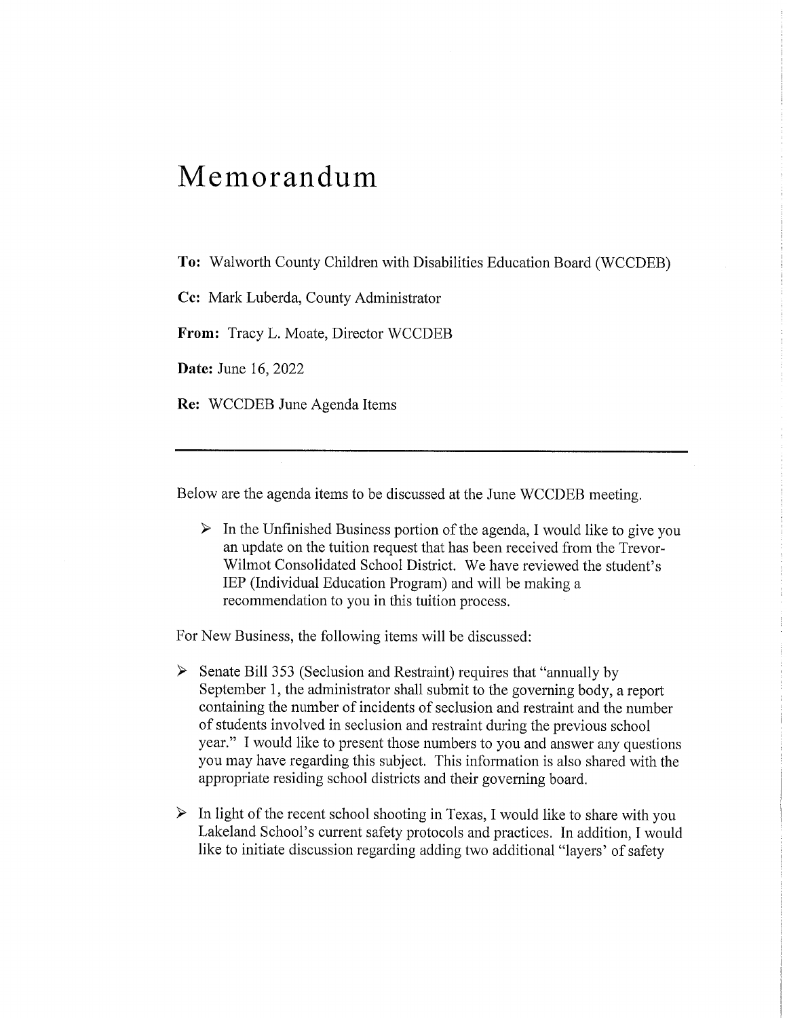### Memorandum

To: Walworth County Children with Disabilities Education Board (WCCDEB)

Cc: Mark Luberda, County Administrator

From: Tracy L. Moate, Director WCCDEB

**Date:** June 16, 2022

Re: WCCDEB June Agenda Items

Below are the agenda items to be discussed at the June WCCDEB meeting.

 $\triangleright$  In the Unfinished Business portion of the agenda, I would like to give you an update on the tuition request that has been received from the Trevor-Wilmot Consolidated School District. We have reviewed the student's IEP (Individual Education Program) and will be making a recommendation to you in this tuition process.

For New Business, the following items will be discussed:

- $\triangleright$  Senate Bill 353 (Seclusion and Restraint) requires that "annually by September 1, the administrator shall submit to the governing body, a report containing the number of incidents of seclusion and restraint and the number of students involved in seclusion and restraint during the previous school year." I would like to present those numbers to you and answer any questions you may have regarding this subject. This information is also shared with the appropriate residing school districts and their governing board.
- $\triangleright$  In light of the recent school shooting in Texas, I would like to share with you Lakeland School's current safety protocols and practices. In addition, I would like to initiate discussion regarding adding two additional "layers' of safety